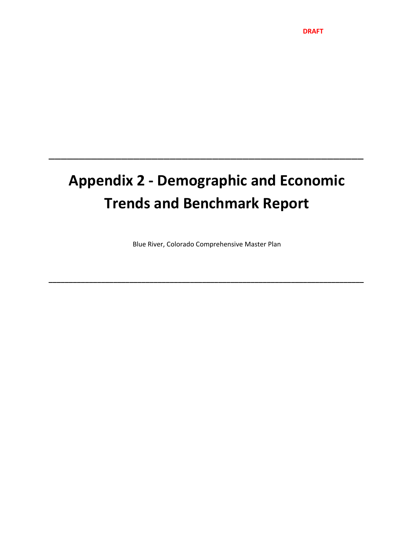# **Appendix 2 ‐ Demographic and Economic Trends and Benchmark Report**

\_\_\_\_\_\_\_\_\_\_\_\_\_\_\_\_\_\_\_\_\_\_\_\_\_\_\_\_\_\_\_\_\_\_\_\_\_\_\_\_\_\_\_\_\_\_\_\_\_\_\_\_

Blue River, Colorado Comprehensive Master Plan

**\_\_\_\_\_\_\_\_\_\_\_\_\_\_\_\_\_\_\_\_\_\_\_\_\_\_\_\_\_\_\_\_\_\_\_\_\_\_\_\_\_\_\_\_\_\_\_\_\_\_\_\_\_\_\_\_\_\_\_\_\_\_\_\_\_\_\_\_\_\_\_\_\_\_\_\_\_\_**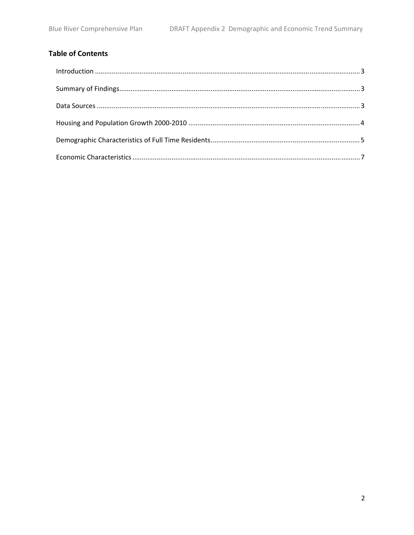# **Table of Contents**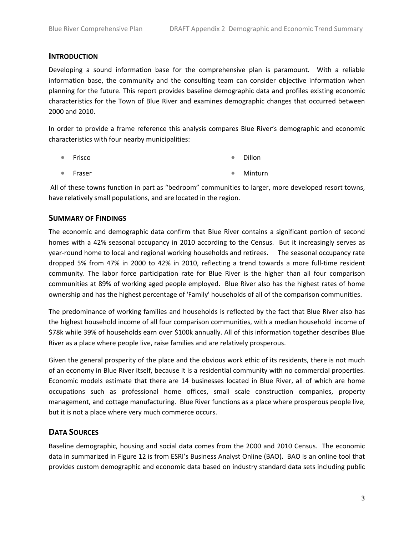#### **INTRODUCTION**

Developing a sound information base for the comprehensive plan is paramount. With a reliable information base, the community and the consulting team can consider objective information when planning for the future. This report provides baseline demographic data and profiles existing economic characteristics for the Town of Blue River and examines demographic changes that occurred between 2000 and 2010.

In order to provide a frame reference this analysis compares Blue River's demographic and economic characteristics with four nearby municipalities:

- Frisco • Dillon
- Fraser • Minturn

All of these towns function in part as "bedroom" communities to larger, more developed resort towns, have relatively small populations, and are located in the region.

### **SUMMARY OF FINDINGS**

The economic and demographic data confirm that Blue River contains a significant portion of second homes with a 42% seasonal occupancy in 2010 according to the Census. But it increasingly serves as year-round home to local and regional working households and retirees. The seasonal occupancy rate dropped 5% from 47% in 2000 to 42% in 2010, reflecting a trend towards a more full‐time resident community. The labor force participation rate for Blue River is the higher than all four comparison communities at 89% of working aged people employed. Blue River also has the highest rates of home ownership and has the highest percentage of 'Family' households of all of the comparison communities.

The predominance of working families and households is reflected by the fact that Blue River also has the highest household income of all four comparison communities, with a median household income of \$78k while 39% of households earn over \$100k annually. All of this information together describes Blue River as a place where people live, raise families and are relatively prosperous.

Given the general prosperity of the place and the obvious work ethic of its residents, there is not much of an economy in Blue River itself, because it is a residential community with no commercial properties. Economic models estimate that there are 14 businesses located in Blue River, all of which are home occupations such as professional home offices, small scale construction companies, property management, and cottage manufacturing. Blue River functions as a place where prosperous people live, but it is not a place where very much commerce occurs.

### **DATA SOURCES**

Baseline demographic, housing and social data comes from the 2000 and 2010 Census. The economic data in summarized in Figure 12 is from ESRI's Business Analyst Online (BAO). BAO is an online tool that provides custom demographic and economic data based on industry standard data sets including public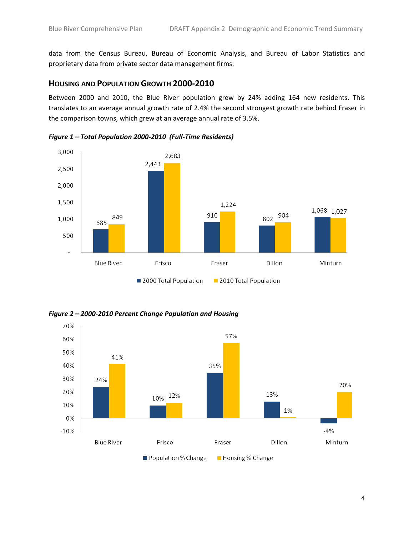data from the Census Bureau, Bureau of Economic Analysis, and Bureau of Labor Statistics and proprietary data from private sector data management firms.

#### **HOUSING AND POPULATION GROWTH 2000‐2010**

Between 2000 and 2010, the Blue River population grew by 24% adding 164 new residents. This translates to an average annual growth rate of 2.4% the second strongest growth rate behind Fraser in the comparison towns, which grew at an average annual rate of 3.5%.



*Figure 1 – Total Population 2000‐2010 (Full‐Time Residents)*

*Figure 2 – 2000‐2010 Percent Change Population and Housing*

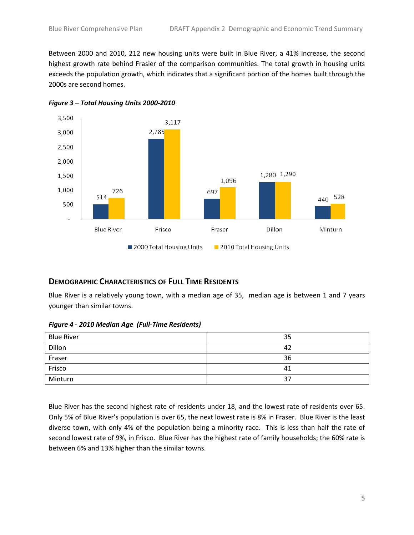Between 2000 and 2010, 212 new housing units were built in Blue River, a 41% increase, the second highest growth rate behind Frasier of the comparison communities. The total growth in housing units exceeds the population growth, which indicates that a significant portion of the homes built through the 2000s are second homes.



*Figure 3 – Total Housing Units 2000‐2010*

### **DEMOGRAPHIC CHARACTERISTICS OF FULL TIME RESIDENTS**

Blue River is a relatively young town, with a median age of 35, median age is between 1 and 7 years younger than similar towns.

*Figure 4 ‐ 2010 Median Age (Full‐Time Residents)*

| <b>Blue River</b> | 35 |
|-------------------|----|
| Dillon            | 42 |
| Fraser            | 36 |
| Frisco            | 41 |
| Minturn           | 37 |

Blue River has the second highest rate of residents under 18, and the lowest rate of residents over 65. Only 5% of Blue River's population is over 65, the next lowest rate is 8% in Fraser. Blue River is the least diverse town, with only 4% of the population being a minority race. This is less than half the rate of second lowest rate of 9%, in Frisco. Blue River has the highest rate of family households; the 60% rate is between 6% and 13% higher than the similar towns.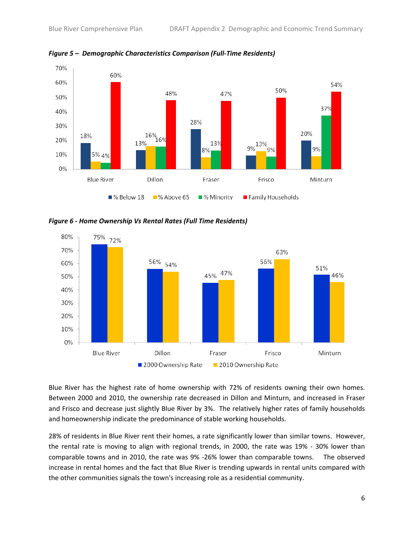

*Figure 5 – Demographic Characteristics Comparison (Full‐Time Residents)*

*Figure 6 ‐ Home Ownership Vs Rental Rates (Full Time Residents)*



Blue River has the highest rate of home ownership with 72% of residents owning their own homes. Between 2000 and 2010, the ownership rate decreased in Dillon and Minturn, and increased in Fraser and Frisco and decrease just slightly Blue River by 3%. The relatively higher rates of family households and homeownership indicate the predominance of stable working households.

28% of residents in Blue River rent their homes, a rate significantly lower than similar towns. However, the rental rate is moving to align with regional trends, in 2000, the rate was 19% - 30% lower than comparable towns and in 2010, the rate was 9% ‐26% lower than comparable towns. The observed increase in rental homes and the fact that Blue River is trending upwards in rental units compared with the other communities signals the town's increasing role as a residential community.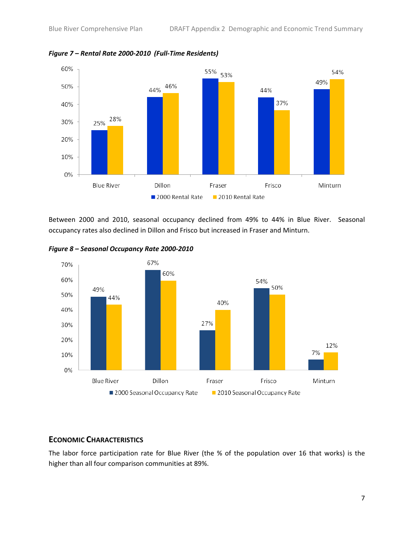

*Figure 7 – Rental Rate 2000‐2010 (Full‐Time Residents)*

Between 2000 and 2010, seasonal occupancy declined from 49% to 44% in Blue River. Seasonal occupancy rates also declined in Dillon and Frisco but increased in Fraser and Minturn.



*Figure 8 – Seasonal Occupancy Rate 2000‐2010*

## **ECONOMIC CHARACTERISTICS**

The labor force participation rate for Blue River (the % of the population over 16 that works) is the higher than all four comparison communities at 89%.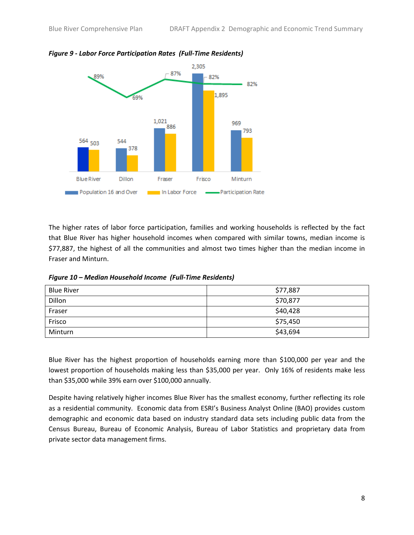

#### *Figure 9 ‐ Labor Force Participation Rates (Full‐Time Residents)*

The higher rates of labor force participation, families and working households is reflected by the fact that Blue River has higher household incomes when compared with similar towns, median income is \$77,887, the highest of all the communities and almost two times higher than the median income in Fraser and Minturn.

| Figure 10 – Median Household Income (Full-Time Residents) |  |
|-----------------------------------------------------------|--|
|-----------------------------------------------------------|--|

| <b>Blue River</b> | \$77,887 |
|-------------------|----------|
| Dillon            | \$70,877 |
| Fraser            | \$40,428 |
| Frisco            | \$75,450 |
| Minturn           | \$43,694 |

Blue River has the highest proportion of households earning more than \$100,000 per year and the lowest proportion of households making less than \$35,000 per year. Only 16% of residents make less than \$35,000 while 39% earn over \$100,000 annually.

Despite having relatively higher incomes Blue River has the smallest economy, further reflecting its role as a residential community. Economic data from ESRI's Business Analyst Online (BAO) provides custom demographic and economic data based on industry standard data sets including public data from the Census Bureau, Bureau of Economic Analysis, Bureau of Labor Statistics and proprietary data from private sector data management firms.